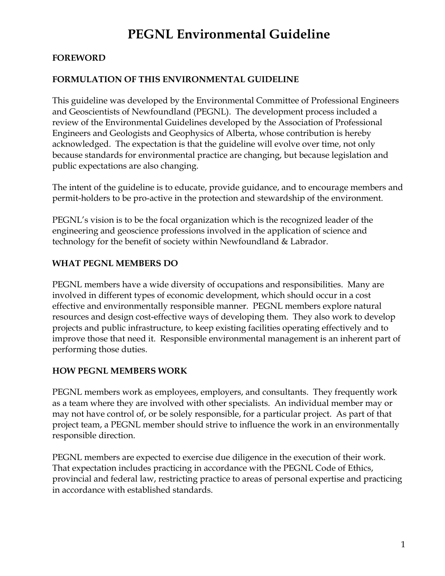# **PEGNL Environmental Guideline**

# **FOREWORD**

# **FORMULATION OF THIS ENVIRONMENTAL GUIDELINE**

This guideline was developed by the Environmental Committee of Professional Engineers and Geoscientists of Newfoundland (PEGNL). The development process included a review of the Environmental Guidelines developed by the Association of Professional Engineers and Geologists and Geophysics of Alberta, whose contribution is hereby acknowledged. The expectation is that the guideline will evolve over time, not only because standards for environmental practice are changing, but because legislation and public expectations are also changing.

The intent of the guideline is to educate, provide guidance, and to encourage members and permit-holders to be pro-active in the protection and stewardship of the environment.

PEGNL's vision is to be the focal organization which is the recognized leader of the engineering and geoscience professions involved in the application of science and technology for the benefit of society within Newfoundland & Labrador.

# **WHAT PEGNL MEMBERS DO**

PEGNL members have a wide diversity of occupations and responsibilities. Many are involved in different types of economic development, which should occur in a cost effective and environmentally responsible manner. PEGNL members explore natural resources and design cost-effective ways of developing them. They also work to develop projects and public infrastructure, to keep existing facilities operating effectively and to improve those that need it. Responsible environmental management is an inherent part of performing those duties.

# **HOW PEGNL MEMBERS WORK**

PEGNL members work as employees, employers, and consultants. They frequently work as a team where they are involved with other specialists. An individual member may or may not have control of, or be solely responsible, for a particular project. As part of that project team, a PEGNL member should strive to influence the work in an environmentally responsible direction.

PEGNL members are expected to exercise due diligence in the execution of their work. That expectation includes practicing in accordance with the PEGNL Code of Ethics, provincial and federal law, restricting practice to areas of personal expertise and practicing in accordance with established standards.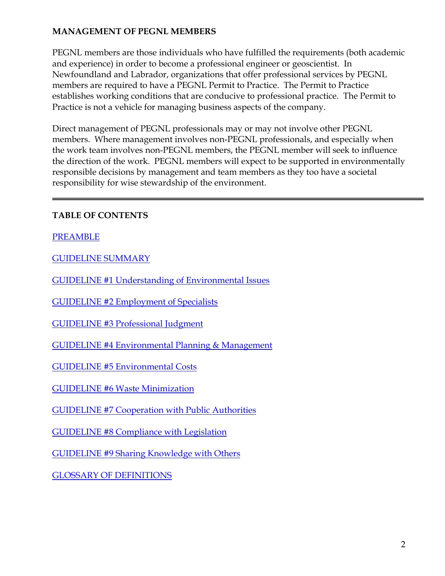# **MANAGEMENT OF PEGNL MEMBERS**

PEGNL members are those individuals who have fulfilled the requirements (both academic and experience) in order to become a professional engineer or geoscientist. In Newfoundland and Labrador, organizations that offer professional services by PEGNL members are required to have a PEGNL Permit to Practice. The Permit to Practice establishes working conditions that are conducive to professional practice. The Permit to Practice is not a vehicle for managing business aspects of the company.

Direct management of PEGNL professionals may or may not involve other PEGNL members. Where management involves non-PEGNL professionals, and especially when the work team involves non-PEGNL members, the PEGNL member will seek to influence the direction of the work. PEGNL members will expect to be supported in environmentally responsible decisions by management and team members as they too have a societal responsibility for wise stewardship of the environment.

# **TABLE OF CONTENTS**

# PREAMBLE

GUIDELINE SUMMARY

GUIDELINE #1 Understanding of Environmental Issues

GUIDELINE #2 Employment of Specialists

GUIDELINE #3 Professional Judgment

GUIDELINE #4 Environmental Planning & Management

GUIDELINE #5 Environmental Costs

GUIDELINE #6 Waste Minimization

GUIDELINE #7 Cooperation with Public Authorities

GUIDELINE #8 Compliance with Legislation

GUIDELINE #9 Sharing Knowledge with Others

GLOSSARY OF DEFINITIONS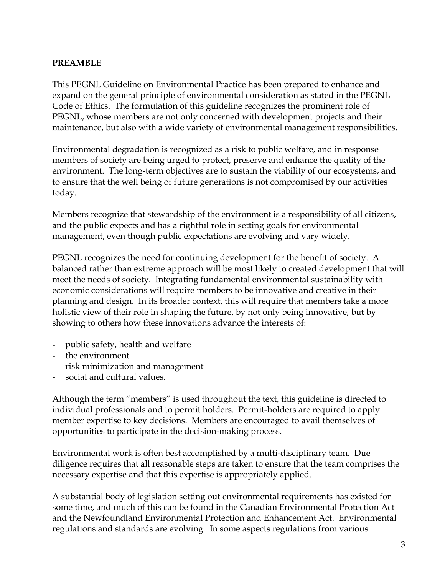### **PREAMBLE**

This PEGNL Guideline on Environmental Practice has been prepared to enhance and expand on the general principle of environmental consideration as stated in the PEGNL Code of Ethics. The formulation of this guideline recognizes the prominent role of PEGNL, whose members are not only concerned with development projects and their maintenance, but also with a wide variety of environmental management responsibilities.

Environmental degradation is recognized as a risk to public welfare, and in response members of society are being urged to protect, preserve and enhance the quality of the environment. The long-term objectives are to sustain the viability of our ecosystems, and to ensure that the well being of future generations is not compromised by our activities today.

Members recognize that stewardship of the environment is a responsibility of all citizens, and the public expects and has a rightful role in setting goals for environmental management, even though public expectations are evolving and vary widely.

PEGNL recognizes the need for continuing development for the benefit of society. A balanced rather than extreme approach will be most likely to created development that will meet the needs of society. Integrating fundamental environmental sustainability with economic considerations will require members to be innovative and creative in their planning and design. In its broader context, this will require that members take a more holistic view of their role in shaping the future, by not only being innovative, but by showing to others how these innovations advance the interests of:

- public safety, health and welfare
- the environment
- risk minimization and management
- social and cultural values.

Although the term "members" is used throughout the text, this guideline is directed to individual professionals and to permit holders. Permit-holders are required to apply member expertise to key decisions. Members are encouraged to avail themselves of opportunities to participate in the decision-making process.

Environmental work is often best accomplished by a multi-disciplinary team. Due diligence requires that all reasonable steps are taken to ensure that the team comprises the necessary expertise and that this expertise is appropriately applied.

A substantial body of legislation setting out environmental requirements has existed for some time, and much of this can be found in the Canadian Environmental Protection Act and the Newfoundland Environmental Protection and Enhancement Act. Environmental regulations and standards are evolving. In some aspects regulations from various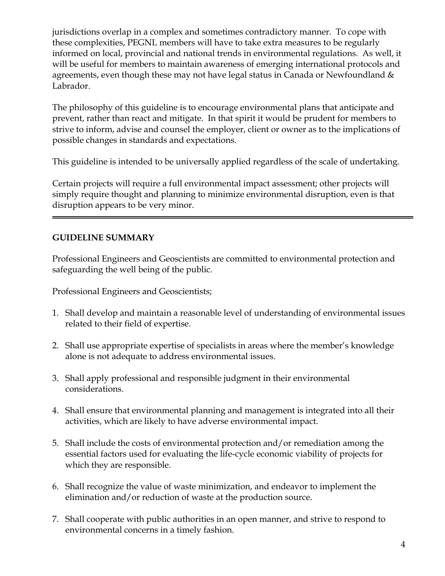jurisdictions overlap in a complex and sometimes contradictory manner. To cope with these complexities, PEGNL members will have to take extra measures to be regularly informed on local, provincial and national trends in environmental regulations. As well, it will be useful for members to maintain awareness of emerging international protocols and agreements, even though these may not have legal status in Canada or Newfoundland & Labrador.

The philosophy of this guideline is to encourage environmental plans that anticipate and prevent, rather than react and mitigate. In that spirit it would be prudent for members to strive to inform, advise and counsel the employer, client or owner as to the implications of possible changes in standards and expectations.

This guideline is intended to be universally applied regardless of the scale of undertaking.

Certain projects will require a full environmental impact assessment; other projects will simply require thought and planning to minimize environmental disruption, even is that disruption appears to be very minor.

# **GUIDELINE SUMMARY**

Professional Engineers and Geoscientists are committed to environmental protection and safeguarding the well being of the public.

Professional Engineers and Geoscientists;

- 1. Shall develop and maintain a reasonable level of understanding of environmental issues related to their field of expertise.
- 2. Shall use appropriate expertise of specialists in areas where the member's knowledge alone is not adequate to address environmental issues.
- 3. Shall apply professional and responsible judgment in their environmental considerations.
- 4. Shall ensure that environmental planning and management is integrated into all their activities, which are likely to have adverse environmental impact.
- 5. Shall include the costs of environmental protection and/or remediation among the essential factors used for evaluating the life-cycle economic viability of projects for which they are responsible.
- 6. Shall recognize the value of waste minimization, and endeavor to implement the elimination and/or reduction of waste at the production source.
- 7. Shall cooperate with public authorities in an open manner, and strive to respond to environmental concerns in a timely fashion.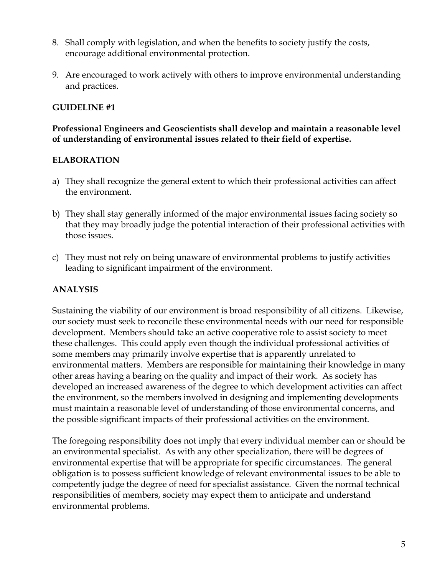- 8. Shall comply with legislation, and when the benefits to society justify the costs, encourage additional environmental protection.
- 9. Are encouraged to work actively with others to improve environmental understanding and practices.

# **GUIDELINE #1**

### **Professional Engineers and Geoscientists shall develop and maintain a reasonable level of understanding of environmental issues related to their field of expertise.**

# **ELABORATION**

- a) They shall recognize the general extent to which their professional activities can affect the environment.
- b) They shall stay generally informed of the major environmental issues facing society so that they may broadly judge the potential interaction of their professional activities with those issues.
- c) They must not rely on being unaware of environmental problems to justify activities leading to significant impairment of the environment.

# **ANALYSIS**

Sustaining the viability of our environment is broad responsibility of all citizens. Likewise, our society must seek to reconcile these environmental needs with our need for responsible development. Members should take an active cooperative role to assist society to meet these challenges. This could apply even though the individual professional activities of some members may primarily involve expertise that is apparently unrelated to environmental matters. Members are responsible for maintaining their knowledge in many other areas having a bearing on the quality and impact of their work. As society has developed an increased awareness of the degree to which development activities can affect the environment, so the members involved in designing and implementing developments must maintain a reasonable level of understanding of those environmental concerns, and the possible significant impacts of their professional activities on the environment.

The foregoing responsibility does not imply that every individual member can or should be an environmental specialist. As with any other specialization, there will be degrees of environmental expertise that will be appropriate for specific circumstances. The general obligation is to possess sufficient knowledge of relevant environmental issues to be able to competently judge the degree of need for specialist assistance. Given the normal technical responsibilities of members, society may expect them to anticipate and understand environmental problems.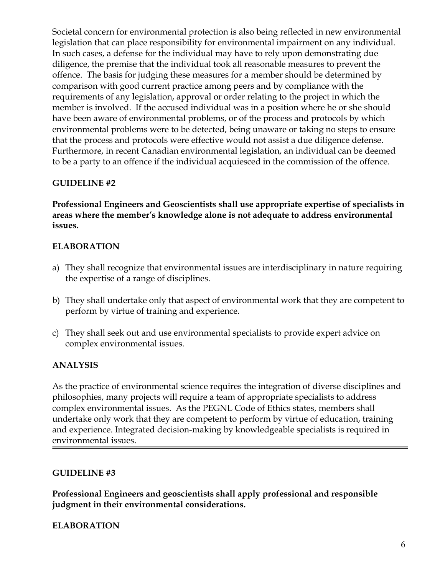Societal concern for environmental protection is also being reflected in new environmental legislation that can place responsibility for environmental impairment on any individual. In such cases, a defense for the individual may have to rely upon demonstrating due diligence, the premise that the individual took all reasonable measures to prevent the offence. The basis for judging these measures for a member should be determined by comparison with good current practice among peers and by compliance with the requirements of any legislation, approval or order relating to the project in which the member is involved. If the accused individual was in a position where he or she should have been aware of environmental problems, or of the process and protocols by which environmental problems were to be detected, being unaware or taking no steps to ensure that the process and protocols were effective would not assist a due diligence defense. Furthermore, in recent Canadian environmental legislation, an individual can be deemed to be a party to an offence if the individual acquiesced in the commission of the offence.

# **GUIDELINE #2**

**Professional Engineers and Geoscientists shall use appropriate expertise of specialists in areas where the member's knowledge alone is not adequate to address environmental issues.** 

# **ELABORATION**

- a) They shall recognize that environmental issues are interdisciplinary in nature requiring the expertise of a range of disciplines.
- b) They shall undertake only that aspect of environmental work that they are competent to perform by virtue of training and experience.
- c) They shall seek out and use environmental specialists to provide expert advice on complex environmental issues.

# **ANALYSIS**

As the practice of environmental science requires the integration of diverse disciplines and philosophies, many projects will require a team of appropriate specialists to address complex environmental issues. As the PEGNL Code of Ethics states, members shall undertake only work that they are competent to perform by virtue of education, training and experience. Integrated decision-making by knowledgeable specialists is required in environmental issues.

# **GUIDELINE #3**

**Professional Engineers and geoscientists shall apply professional and responsible judgment in their environmental considerations.** 

# **ELABORATION**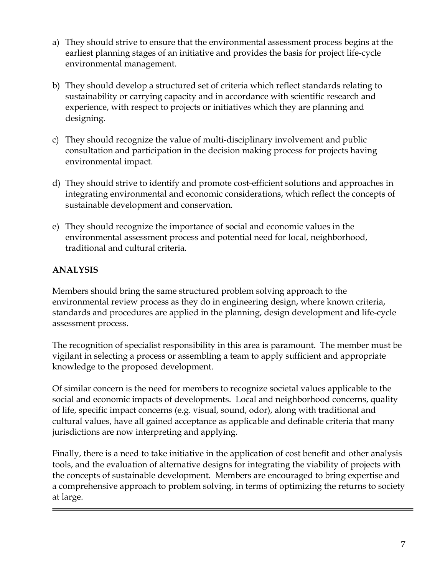- a) They should strive to ensure that the environmental assessment process begins at the earliest planning stages of an initiative and provides the basis for project life-cycle environmental management.
- b) They should develop a structured set of criteria which reflect standards relating to sustainability or carrying capacity and in accordance with scientific research and experience, with respect to projects or initiatives which they are planning and designing.
- c) They should recognize the value of multi-disciplinary involvement and public consultation and participation in the decision making process for projects having environmental impact.
- d) They should strive to identify and promote cost-efficient solutions and approaches in integrating environmental and economic considerations, which reflect the concepts of sustainable development and conservation.
- e) They should recognize the importance of social and economic values in the environmental assessment process and potential need for local, neighborhood, traditional and cultural criteria.

# **ANALYSIS**

Members should bring the same structured problem solving approach to the environmental review process as they do in engineering design, where known criteria, standards and procedures are applied in the planning, design development and life-cycle assessment process.

The recognition of specialist responsibility in this area is paramount. The member must be vigilant in selecting a process or assembling a team to apply sufficient and appropriate knowledge to the proposed development.

Of similar concern is the need for members to recognize societal values applicable to the social and economic impacts of developments. Local and neighborhood concerns, quality of life, specific impact concerns (e.g. visual, sound, odor), along with traditional and cultural values, have all gained acceptance as applicable and definable criteria that many jurisdictions are now interpreting and applying.

Finally, there is a need to take initiative in the application of cost benefit and other analysis tools, and the evaluation of alternative designs for integrating the viability of projects with the concepts of sustainable development. Members are encouraged to bring expertise and a comprehensive approach to problem solving, in terms of optimizing the returns to society at large.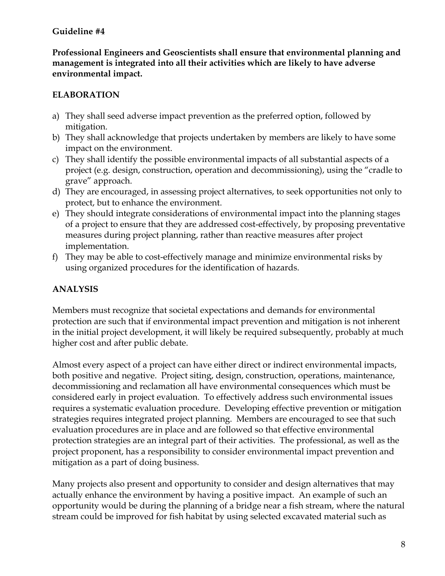# **Guideline #4**

**Professional Engineers and Geoscientists shall ensure that environmental planning and management is integrated into all their activities which are likely to have adverse environmental impact.** 

# **ELABORATION**

- a) They shall seed adverse impact prevention as the preferred option, followed by mitigation.
- b) They shall acknowledge that projects undertaken by members are likely to have some impact on the environment.
- c) They shall identify the possible environmental impacts of all substantial aspects of a project (e.g. design, construction, operation and decommissioning), using the "cradle to grave" approach.
- d) They are encouraged, in assessing project alternatives, to seek opportunities not only to protect, but to enhance the environment.
- e) They should integrate considerations of environmental impact into the planning stages of a project to ensure that they are addressed cost-effectively, by proposing preventative measures during project planning, rather than reactive measures after project implementation.
- f) They may be able to cost-effectively manage and minimize environmental risks by using organized procedures for the identification of hazards.

# **ANALYSIS**

Members must recognize that societal expectations and demands for environmental protection are such that if environmental impact prevention and mitigation is not inherent in the initial project development, it will likely be required subsequently, probably at much higher cost and after public debate.

Almost every aspect of a project can have either direct or indirect environmental impacts, both positive and negative. Project siting, design, construction, operations, maintenance, decommissioning and reclamation all have environmental consequences which must be considered early in project evaluation. To effectively address such environmental issues requires a systematic evaluation procedure. Developing effective prevention or mitigation strategies requires integrated project planning. Members are encouraged to see that such evaluation procedures are in place and are followed so that effective environmental protection strategies are an integral part of their activities. The professional, as well as the project proponent, has a responsibility to consider environmental impact prevention and mitigation as a part of doing business.

Many projects also present and opportunity to consider and design alternatives that may actually enhance the environment by having a positive impact. An example of such an opportunity would be during the planning of a bridge near a fish stream, where the natural stream could be improved for fish habitat by using selected excavated material such as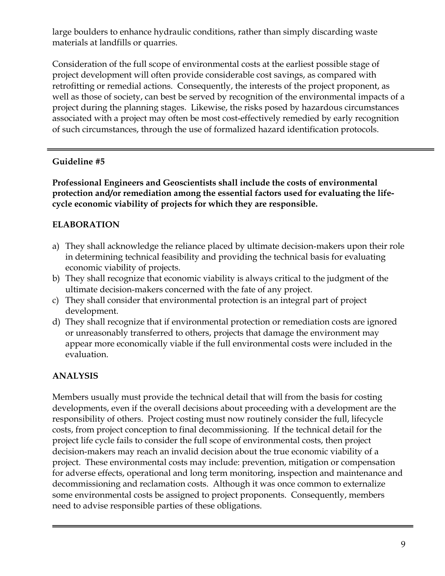large boulders to enhance hydraulic conditions, rather than simply discarding waste materials at landfills or quarries.

Consideration of the full scope of environmental costs at the earliest possible stage of project development will often provide considerable cost savings, as compared with retrofitting or remedial actions. Consequently, the interests of the project proponent, as well as those of society, can best be served by recognition of the environmental impacts of a project during the planning stages. Likewise, the risks posed by hazardous circumstances associated with a project may often be most cost-effectively remedied by early recognition of such circumstances, through the use of formalized hazard identification protocols.

# **Guideline #5**

**Professional Engineers and Geoscientists shall include the costs of environmental protection and/or remediation among the essential factors used for evaluating the lifecycle economic viability of projects for which they are responsible.** 

# **ELABORATION**

- a) They shall acknowledge the reliance placed by ultimate decision-makers upon their role in determining technical feasibility and providing the technical basis for evaluating economic viability of projects.
- b) They shall recognize that economic viability is always critical to the judgment of the ultimate decision-makers concerned with the fate of any project.
- c) They shall consider that environmental protection is an integral part of project development.
- d) They shall recognize that if environmental protection or remediation costs are ignored or unreasonably transferred to others, projects that damage the environment may appear more economically viable if the full environmental costs were included in the evaluation.

# **ANALYSIS**

Members usually must provide the technical detail that will from the basis for costing developments, even if the overall decisions about proceeding with a development are the responsibility of others. Project costing must now routinely consider the full, lifecycle costs, from project conception to final decommissioning. If the technical detail for the project life cycle fails to consider the full scope of environmental costs, then project decision-makers may reach an invalid decision about the true economic viability of a project. These environmental costs may include: prevention, mitigation or compensation for adverse effects, operational and long term monitoring, inspection and maintenance and decommissioning and reclamation costs. Although it was once common to externalize some environmental costs be assigned to project proponents. Consequently, members need to advise responsible parties of these obligations.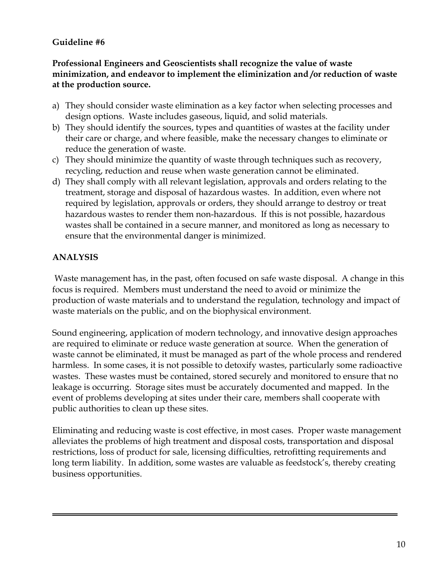# **Guideline #6**

### **Professional Engineers and Geoscientists shall recognize the value of waste minimization, and endeavor to implement the eliminization and /or reduction of waste at the production source.**

- a) They should consider waste elimination as a key factor when selecting processes and design options. Waste includes gaseous, liquid, and solid materials.
- b) They should identify the sources, types and quantities of wastes at the facility under their care or charge, and where feasible, make the necessary changes to eliminate or reduce the generation of waste.
- c) They should minimize the quantity of waste through techniques such as recovery, recycling, reduction and reuse when waste generation cannot be eliminated.
- d) They shall comply with all relevant legislation, approvals and orders relating to the treatment, storage and disposal of hazardous wastes. In addition, even where not required by legislation, approvals or orders, they should arrange to destroy or treat hazardous wastes to render them non-hazardous. If this is not possible, hazardous wastes shall be contained in a secure manner, and monitored as long as necessary to ensure that the environmental danger is minimized.

# **ANALYSIS**

Waste management has, in the past, often focused on safe waste disposal. A change in this focus is required. Members must understand the need to avoid or minimize the production of waste materials and to understand the regulation, technology and impact of waste materials on the public, and on the biophysical environment.

Sound engineering, application of modern technology, and innovative design approaches are required to eliminate or reduce waste generation at source. When the generation of waste cannot be eliminated, it must be managed as part of the whole process and rendered harmless. In some cases, it is not possible to detoxify wastes, particularly some radioactive wastes. These wastes must be contained, stored securely and monitored to ensure that no leakage is occurring. Storage sites must be accurately documented and mapped. In the event of problems developing at sites under their care, members shall cooperate with public authorities to clean up these sites.

Eliminating and reducing waste is cost effective, in most cases. Proper waste management alleviates the problems of high treatment and disposal costs, transportation and disposal restrictions, loss of product for sale, licensing difficulties, retrofitting requirements and long term liability. In addition, some wastes are valuable as feedstock's, thereby creating business opportunities.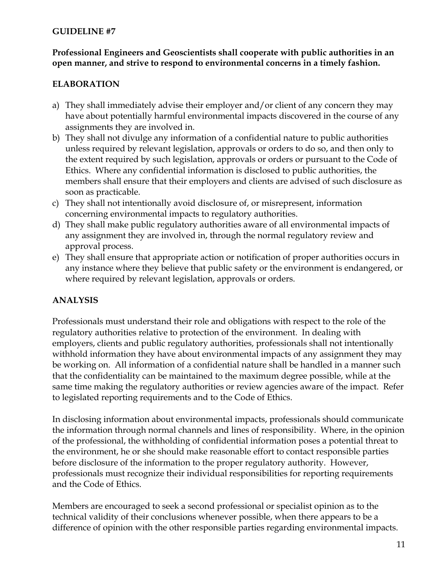### **GUIDELINE #7**

### **Professional Engineers and Geoscientists shall cooperate with public authorities in an open manner, and strive to respond to environmental concerns in a timely fashion.**

# **ELABORATION**

- a) They shall immediately advise their employer and/or client of any concern they may have about potentially harmful environmental impacts discovered in the course of any assignments they are involved in.
- b) They shall not divulge any information of a confidential nature to public authorities unless required by relevant legislation, approvals or orders to do so, and then only to the extent required by such legislation, approvals or orders or pursuant to the Code of Ethics. Where any confidential information is disclosed to public authorities, the members shall ensure that their employers and clients are advised of such disclosure as soon as practicable.
- c) They shall not intentionally avoid disclosure of, or misrepresent, information concerning environmental impacts to regulatory authorities.
- d) They shall make public regulatory authorities aware of all environmental impacts of any assignment they are involved in, through the normal regulatory review and approval process.
- e) They shall ensure that appropriate action or notification of proper authorities occurs in any instance where they believe that public safety or the environment is endangered, or where required by relevant legislation, approvals or orders.

# **ANALYSIS**

Professionals must understand their role and obligations with respect to the role of the regulatory authorities relative to protection of the environment. In dealing with employers, clients and public regulatory authorities, professionals shall not intentionally withhold information they have about environmental impacts of any assignment they may be working on. All information of a confidential nature shall be handled in a manner such that the confidentiality can be maintained to the maximum degree possible, while at the same time making the regulatory authorities or review agencies aware of the impact. Refer to legislated reporting requirements and to the Code of Ethics.

In disclosing information about environmental impacts, professionals should communicate the information through normal channels and lines of responsibility. Where, in the opinion of the professional, the withholding of confidential information poses a potential threat to the environment, he or she should make reasonable effort to contact responsible parties before disclosure of the information to the proper regulatory authority. However, professionals must recognize their individual responsibilities for reporting requirements and the Code of Ethics.

Members are encouraged to seek a second professional or specialist opinion as to the technical validity of their conclusions whenever possible, when there appears to be a difference of opinion with the other responsible parties regarding environmental impacts.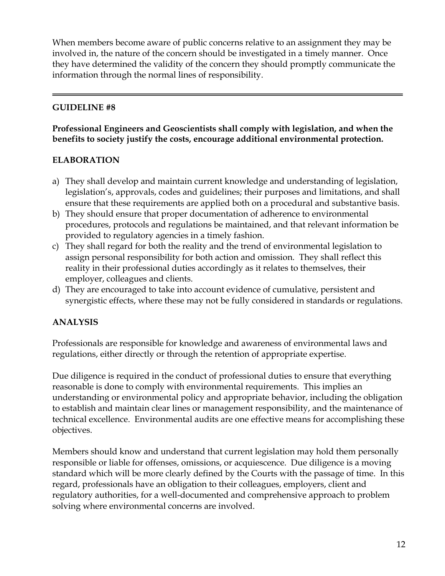When members become aware of public concerns relative to an assignment they may be involved in, the nature of the concern should be investigated in a timely manner. Once they have determined the validity of the concern they should promptly communicate the information through the normal lines of responsibility.

# **GUIDELINE #8**

# **Professional Engineers and Geoscientists shall comply with legislation, and when the benefits to society justify the costs, encourage additional environmental protection.**

# **ELABORATION**

- a) They shall develop and maintain current knowledge and understanding of legislation, legislation's, approvals, codes and guidelines; their purposes and limitations, and shall ensure that these requirements are applied both on a procedural and substantive basis.
- b) They should ensure that proper documentation of adherence to environmental procedures, protocols and regulations be maintained, and that relevant information be provided to regulatory agencies in a timely fashion.
- c) They shall regard for both the reality and the trend of environmental legislation to assign personal responsibility for both action and omission. They shall reflect this reality in their professional duties accordingly as it relates to themselves, their employer, colleagues and clients.
- d) They are encouraged to take into account evidence of cumulative, persistent and synergistic effects, where these may not be fully considered in standards or regulations.

# **ANALYSIS**

Professionals are responsible for knowledge and awareness of environmental laws and regulations, either directly or through the retention of appropriate expertise.

Due diligence is required in the conduct of professional duties to ensure that everything reasonable is done to comply with environmental requirements. This implies an understanding or environmental policy and appropriate behavior, including the obligation to establish and maintain clear lines or management responsibility, and the maintenance of technical excellence. Environmental audits are one effective means for accomplishing these objectives.

Members should know and understand that current legislation may hold them personally responsible or liable for offenses, omissions, or acquiescence. Due diligence is a moving standard which will be more clearly defined by the Courts with the passage of time. In this regard, professionals have an obligation to their colleagues, employers, client and regulatory authorities, for a well-documented and comprehensive approach to problem solving where environmental concerns are involved.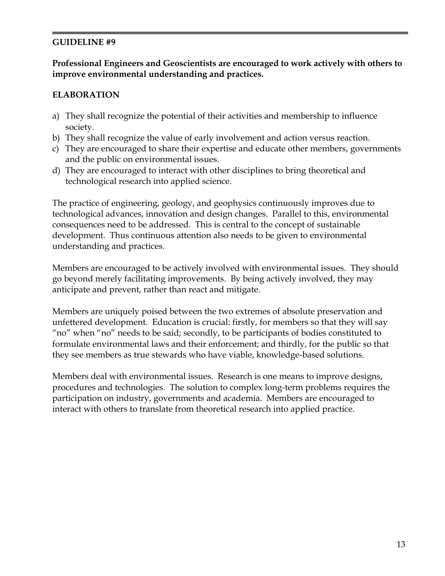# **GUIDELINE #9**

### **Professional Engineers and Geoscientists are encouraged to work actively with others to improve environmental understanding and practices.**

### **ELABORATION**

- a) They shall recognize the potential of their activities and membership to influence society.
- b) They shall recognize the value of early involvement and action versus reaction.
- c) They are encouraged to share their expertise and educate other members, governments and the public on environmental issues.
- d) They are encouraged to interact with other disciplines to bring theoretical and technological research into applied science.

The practice of engineering, geology, and geophysics continuously improves due to technological advances, innovation and design changes. Parallel to this, environmental consequences need to be addressed. This is central to the concept of sustainable development. Thus continuous attention also needs to be given to environmental understanding and practices.

Members are encouraged to be actively involved with environmental issues. They should go beyond merely facilitating improvements. By being actively involved, they may anticipate and prevent, rather than react and mitigate.

Members are uniquely poised between the two extremes of absolute preservation and unfettered development. Education is crucial: firstly, for members so that they will say "no" when "no" needs to be said; secondly, to be participants of bodies constituted to formulate environmental laws and their enforcement; and thirdly, for the public so that they see members as true stewards who have viable, knowledge-based solutions.

Members deal with environmental issues. Research is one means to improve designs, procedures and technologies. The solution to complex long-term problems requires the participation on industry, governments and academia. Members are encouraged to interact with others to translate from theoretical research into applied practice.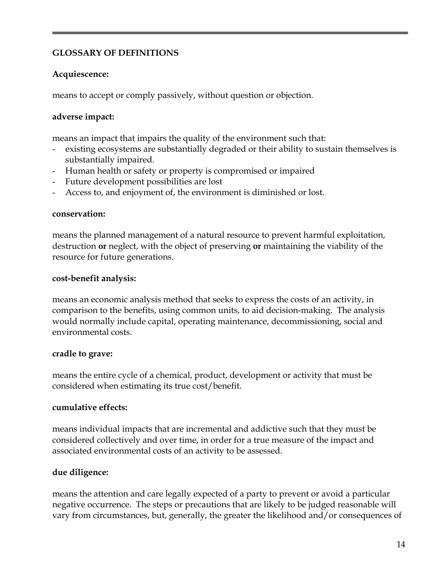# **GLOSSARY OF DEFINITIONS**

### **Acquiescence:**

means to accept or comply passively, without question or objection.

### **adverse impact:**

means an impact that impairs the quality of the environment such that:

- existing ecosystems are substantially degraded or their ability to sustain themselves is substantially impaired.
- Human health or safety or property is compromised or impaired
- Future development possibilities are lost
- Access to, and enjoyment of, the environment is diminished or lost.

#### **conservation:**

means the planned management of a natural resource to prevent harmful exploitation, destruction **or** neglect, with the object of preserving **or** maintaining the viability of the resource for future generations.

#### **cost-benefit analysis:**

means an economic analysis method that seeks to express the costs of an activity, in comparison to the benefits, using common units, to aid decision-making. The analysis would normally include capital, operating maintenance, decommissioning, social and environmental costs.

#### **cradle to grave:**

means the entire cycle of a chemical, product, development or activity that must be considered when estimating its true cost/benefit.

#### **cumulative effects:**

means individual impacts that are incremental and addictive such that they must be considered collectively and over time, in order for a true measure of the impact and associated environmental costs of an activity to be assessed.

# **due diligence:**

means the attention and care legally expected of a party to prevent or avoid a particular negative occurrence. The steps or precautions that are likely to be judged reasonable will vary from circumstances, but, generally, the greater the likelihood and/or consequences of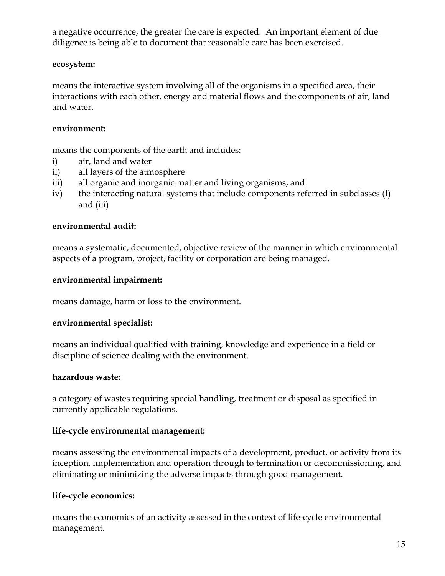a negative occurrence, the greater the care is expected. An important element of due diligence is being able to document that reasonable care has been exercised.

### **ecosystem:**

means the interactive system involving all of the organisms in a specified area, their interactions with each other, energy and material flows and the components of air, land and water.

### **environment:**

means the components of the earth and includes:

- i) air, land and water
- ii) all layers of the atmosphere
- iii) all organic and inorganic matter and living organisms, and
- iv) the interacting natural systems that include components referred in subclasses (I) and (iii)

# **environmental audit:**

means a systematic, documented, objective review of the manner in which environmental aspects of a program, project, facility or corporation are being managed.

# **environmental impairment:**

means damage, harm or loss to **the** environment.

# **environmental specialist:**

means an individual qualified with training, knowledge and experience in a field or discipline of science dealing with the environment.

# **hazardous waste:**

a category of wastes requiring special handling, treatment or disposal as specified in currently applicable regulations.

# **life-cycle environmental management:**

means assessing the environmental impacts of a development, product, or activity from its inception, implementation and operation through to termination or decommissioning, and eliminating or minimizing the adverse impacts through good management.

# **life-cycle economics:**

means the economics of an activity assessed in the context of life-cycle environmental management.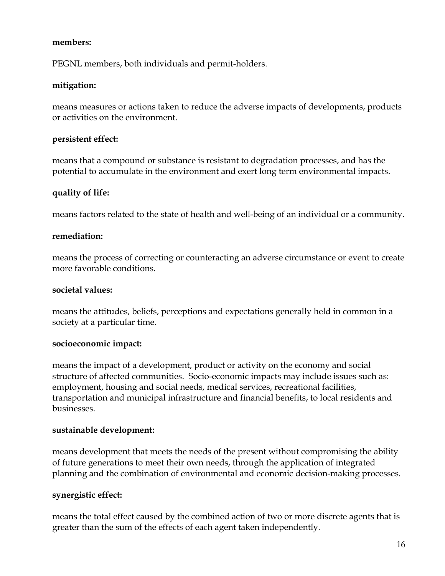#### **members:**

PEGNL members, both individuals and permit-holders.

### **mitigation:**

means measures or actions taken to reduce the adverse impacts of developments, products or activities on the environment.

### **persistent effect:**

means that a compound or substance is resistant to degradation processes, and has the potential to accumulate in the environment and exert long term environmental impacts.

### **quality of life:**

means factors related to the state of health and well-being of an individual or a community.

#### **remediation:**

means the process of correcting or counteracting an adverse circumstance or event to create more favorable conditions.

#### **societal values:**

means the attitudes, beliefs, perceptions and expectations generally held in common in a society at a particular time.

#### **socioeconomic impact:**

means the impact of a development, product or activity on the economy and social structure of affected communities. Socio-economic impacts may include issues such as: employment, housing and social needs, medical services, recreational facilities, transportation and municipal infrastructure and financial benefits, to local residents and businesses.

#### **sustainable development:**

means development that meets the needs of the present without compromising the ability of future generations to meet their own needs, through the application of integrated planning and the combination of environmental and economic decision-making processes.

#### **synergistic effect:**

means the total effect caused by the combined action of two or more discrete agents that is greater than the sum of the effects of each agent taken independently.